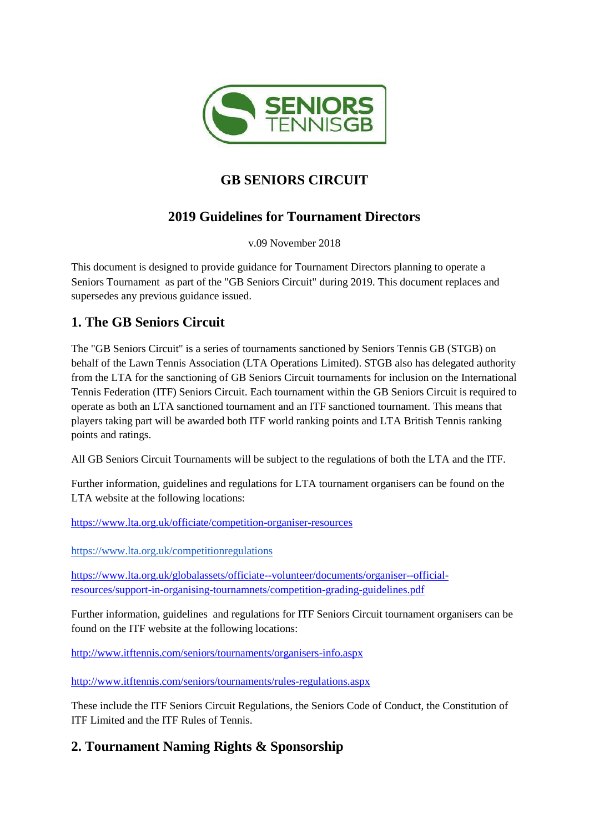

# **GB SENIORS CIRCUIT**

# **2019 Guidelines for Tournament Directors**

v.09 November 2018

This document is designed to provide guidance for Tournament Directors planning to operate a Seniors Tournament as part of the "GB Seniors Circuit" during 2019. This document replaces and supersedes any previous guidance issued.

# **1. The GB Seniors Circuit**

The "GB Seniors Circuit" is a series of tournaments sanctioned by Seniors Tennis GB (STGB) on behalf of the Lawn Tennis Association (LTA Operations Limited). STGB also has delegated authority from the LTA for the sanctioning of GB Seniors Circuit tournaments for inclusion on the International Tennis Federation (ITF) Seniors Circuit. Each tournament within the GB Seniors Circuit is required to operate as both an LTA sanctioned tournament and an ITF sanctioned tournament. This means that players taking part will be awarded both ITF world ranking points and LTA British Tennis ranking points and ratings.

All GB Seniors Circuit Tournaments will be subject to the regulations of both the LTA and the ITF.

Further information, guidelines and regulations for LTA tournament organisers can be found on the LTA website at the following locations:

<https://www.lta.org.uk/officiate/competition-organiser-resources>

<https://www.lta.org.uk/competitionregulations>

[https://www.lta.org.uk/globalassets/officiate--volunteer/documents/organiser--official](https://www.lta.org.uk/globalassets/officiate--volunteer/documents/organiser--official-resources/support-in-organising-tournamnets/competition-grading-guidelines.pdf)[resources/support-in-organising-tournamnets/competition-grading-guidelines.pdf](https://www.lta.org.uk/globalassets/officiate--volunteer/documents/organiser--official-resources/support-in-organising-tournamnets/competition-grading-guidelines.pdf)

Further information, guidelines and regulations for ITF Seniors Circuit tournament organisers can be found on the ITF website at the following locations:

<http://www.itftennis.com/seniors/tournaments/organisers-info.aspx>

<http://www.itftennis.com/seniors/tournaments/rules-regulations.aspx>

These include the ITF Seniors Circuit Regulations, the Seniors Code of Conduct, the Constitution of ITF Limited and the ITF Rules of Tennis.

# **2. Tournament Naming Rights & Sponsorship**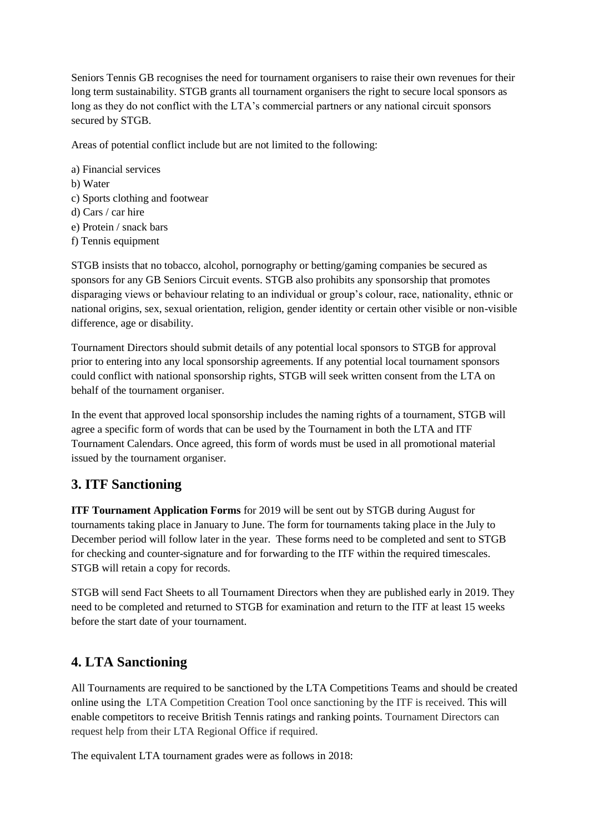Seniors Tennis GB recognises the need for tournament organisers to raise their own revenues for their long term sustainability. STGB grants all tournament organisers the right to secure local sponsors as long as they do not conflict with the LTA's commercial partners or any national circuit sponsors secured by STGB.

Areas of potential conflict include but are not limited to the following:

a) Financial services b) Water c) Sports clothing and footwear d) Cars / car hire e) Protein / snack bars f) Tennis equipment

STGB insists that no tobacco, alcohol, pornography or betting/gaming companies be secured as sponsors for any GB Seniors Circuit events. STGB also prohibits any sponsorship that promotes disparaging views or behaviour relating to an individual or group's colour, race, nationality, ethnic or national origins, sex, sexual orientation, religion, gender identity or certain other visible or non-visible difference, age or disability.

Tournament Directors should submit details of any potential local sponsors to STGB for approval prior to entering into any local sponsorship agreements. If any potential local tournament sponsors could conflict with national sponsorship rights, STGB will seek written consent from the LTA on behalf of the tournament organiser.

In the event that approved local sponsorship includes the naming rights of a tournament, STGB will agree a specific form of words that can be used by the Tournament in both the LTA and ITF Tournament Calendars. Once agreed, this form of words must be used in all promotional material issued by the tournament organiser.

### **3. ITF Sanctioning**

**ITF Tournament Application Forms** for 2019 will be sent out by STGB during August for tournaments taking place in January to June. The form for tournaments taking place in the July to December period will follow later in the year. These forms need to be completed and sent to STGB for checking and counter-signature and for forwarding to the ITF within the required timescales. STGB will retain a copy for records.

STGB will send Fact Sheets to all Tournament Directors when they are published early in 2019. They need to be completed and returned to STGB for examination and return to the ITF at least 15 weeks before the start date of your tournament.

### **4. LTA Sanctioning**

All Tournaments are required to be sanctioned by the LTA Competitions Teams and should be created online using the LTA Competition Creation Tool once sanctioning by the ITF is received. This will enable competitors to receive British Tennis ratings and ranking points. Tournament Directors can request help from their LTA Regional Office if required.

The equivalent LTA tournament grades were as follows in 2018: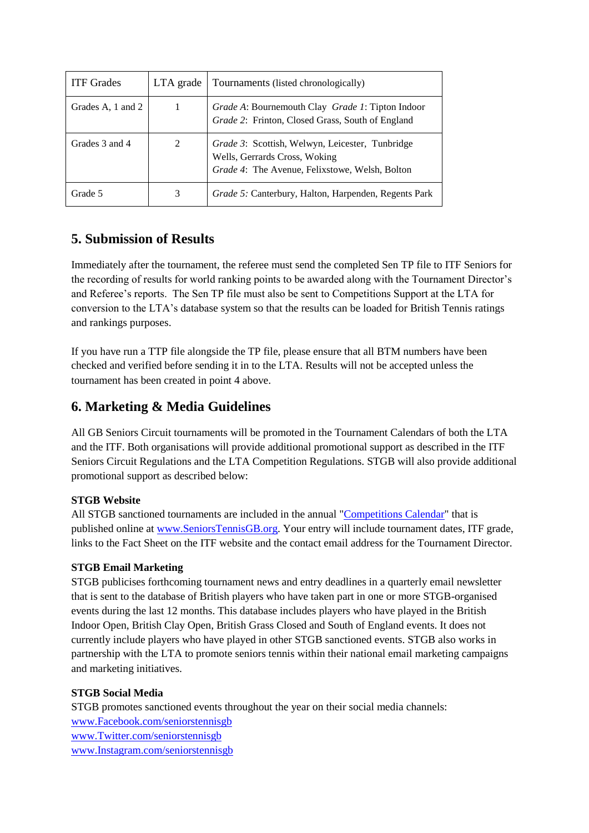| <b>ITF</b> Grades | LTA grade | Tournaments (listed chronologically)                                                                                                       |
|-------------------|-----------|--------------------------------------------------------------------------------------------------------------------------------------------|
| Grades A, 1 and 2 |           | Grade A: Bournemouth Clay Grade 1: Tipton Indoor<br>Grade 2: Frinton, Closed Grass, South of England                                       |
| Grades 3 and 4    | 2         | <i>Grade 3</i> : Scottish, Welwyn, Leicester, Tunbridge<br>Wells, Gerrards Cross, Woking<br>Grade 4: The Avenue, Felixstowe, Welsh, Bolton |
| Grade 5           | 3         | <i>Grade 5:</i> Canterbury, Halton, Harpenden, Regents Park                                                                                |

### **5. Submission of Results**

Immediately after the tournament, the referee must send the completed Sen TP file to ITF Seniors for the recording of results for world ranking points to be awarded along with the Tournament Director's and Referee's reports. The Sen TP file must also be sent to Competitions Support at the LTA for conversion to the LTA's database system so that the results can be loaded for British Tennis ratings and rankings purposes.

If you have run a TTP file alongside the TP file, please ensure that all BTM numbers have been checked and verified before sending it in to the LTA. Results will not be accepted unless the tournament has been created in point 4 above.

## **6. Marketing & Media Guidelines**

All GB Seniors Circuit tournaments will be promoted in the Tournament Calendars of both the LTA and the ITF. Both organisations will provide additional promotional support as described in the ITF Seniors Circuit Regulations and the LTA Competition Regulations. STGB will also provide additional promotional support as described below:

### **STGB Website**

All STGB sanctioned tournaments are included in the annual ["Competitions Calendar"](https://www.lta.org.uk/globalassets/competitions/seniors-tennis/documents/seniors-tennis-competitions-calendar-2018.pdf) that is published online at [www.SeniorsTennisGB.org.](about:blank) Your entry will include tournament dates, ITF grade, links to the Fact Sheet on the ITF website and the contact email address for the Tournament Director.

### **STGB Email Marketing**

STGB publicises forthcoming tournament news and entry deadlines in a quarterly email newsletter that is sent to the database of British players who have taken part in one or more STGB-organised events during the last 12 months. This database includes players who have played in the British Indoor Open, British Clay Open, British Grass Closed and South of England events. It does not currently include players who have played in other STGB sanctioned events. STGB also works in partnership with the LTA to promote seniors tennis within their national email marketing campaigns and marketing initiatives.

### **STGB Social Media**

STGB promotes sanctioned events throughout the year on their social media channels: [www.Facebook.com/seniorstennisgb](about:blank) [www.Twitter.com/seniorstennisgb](about:blank) [www.Instagram.com/seniorstennisgb](about:blank)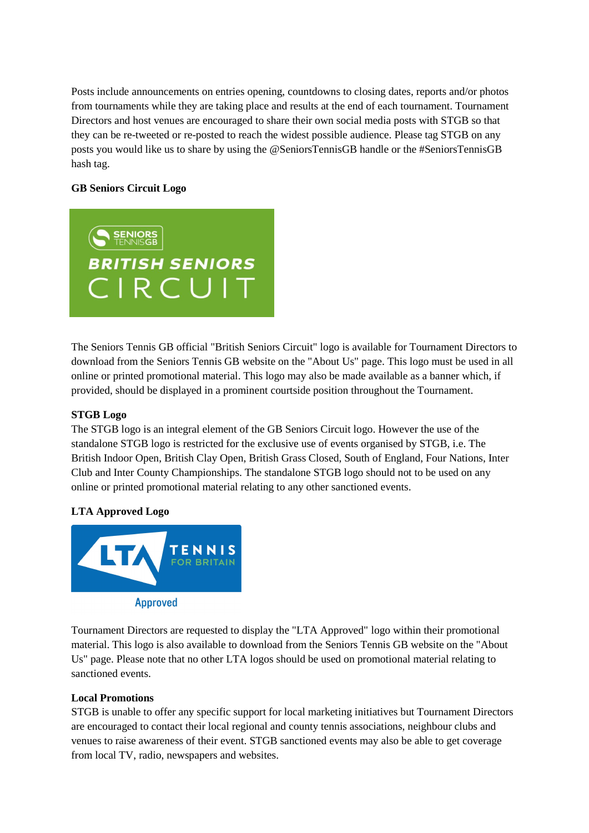Posts include announcements on entries opening, countdowns to closing dates, reports and/or photos from tournaments while they are taking place and results at the end of each tournament. Tournament Directors and host venues are encouraged to share their own social media posts with STGB so that they can be re-tweeted or re-posted to reach the widest possible audience. Please tag STGB on any posts you would like us to share by using the @SeniorsTennisGB handle or the #SeniorsTennisGB hash tag.

### **GB Seniors Circuit Logo**



The Seniors Tennis GB official "British Seniors Circuit" logo is available for Tournament Directors to download from the Seniors Tennis GB website on the "About Us" page. This logo must be used in all online or printed promotional material. This logo may also be made available as a banner which, if provided, should be displayed in a prominent courtside position throughout the Tournament.

#### **STGB Logo**

The STGB logo is an integral element of the GB Seniors Circuit logo. However the use of the standalone STGB logo is restricted for the exclusive use of events organised by STGB, i.e. The British Indoor Open, British Clay Open, British Grass Closed, South of England, Four Nations, Inter Club and Inter County Championships. The standalone STGB logo should not to be used on any online or printed promotional material relating to any other sanctioned events.

### **LTA Approved Logo**



Tournament Directors are requested to display the "LTA Approved" logo within their promotional material. This logo is also available to download from the Seniors Tennis GB website on the "About Us" page. Please note that no other LTA logos should be used on promotional material relating to sanctioned events.

#### **Local Promotions**

STGB is unable to offer any specific support for local marketing initiatives but Tournament Directors are encouraged to contact their local regional and county tennis associations, neighbour clubs and venues to raise awareness of their event. STGB sanctioned events may also be able to get coverage from local TV, radio, newspapers and websites.